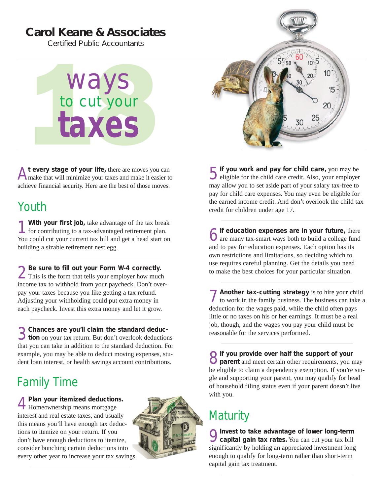#### **Carol Keane & Associates**

*Certified Public Accountants*

Ways<br>to cut your<br>taxes to cut your **taxes**

At every stage of your life, there are moves you can make that will minimize your taxes and make it easier to achieve financial security. Here are the best of those moves.

### Youth

**1 With your first job,** take advantage of the tax break for contributing to a tax-advantaged retirement plan. You could cut your current tax bill and get a head start on building a sizable retirement nest egg.

2**Be sure to fill out your Form W-4 correctly.** This is the form that tells your employer how much income tax to withhold from your paycheck. Don't overpay your taxes because you like getting a tax refund. Adjusting your withholding could put extra money in each paycheck. Invest this extra money and let it grow.

3**Chances are you'll claim the standard deduc-tion** on your tax return. But don't overlook deductions that you can take in addition to the standard deduction. For example, you may be able to deduct moving expenses, student loan interest, or health savings account contributions.

# Family Time

4**Plan your itemized deductions.** Homeownership means mortgage interest and real estate taxes, and usually this means you'll have enough tax deductions to itemize on your return. If you don't have enough deductions to itemize, consider bunching certain deductions into every other year to increase your tax savings.



 $5550$  $10<sup>10</sup>$ 15 20 30

**5** If you work and pay for child care, you may be eligible for the child care credit. Also, your employer may allow you to set aside part of your salary tax-free to pay for child care expenses. You may even be eligible for the earned income credit. And don't overlook the child tax credit for children under age 17.

**6** If education expenses are in your future, there are many tax-smart ways both to build a college fund and to pay for education expenses. Each option has its own restrictions and limitations, so deciding which to use requires careful planning. Get the details you need to make the best choices for your particular situation.

7**Another tax-cutting strategy** is to hire your child to work in the family business. The business can take a deduction for the wages paid, while the child often pays little or no taxes on his or her earnings. It must be a real job, though, and the wages you pay your child must be reasonable for the services performed.

**O** If you provide over half the support of your<br> **O** parent and meet certain other requirements, you may be eligible to claim a dependency exemption. If you're single and supporting your parent, you may qualify for head of household filing status even if your parent doesn't live with you.

## **Maturity**

9**Invest to take advantage of lower long-term capital gain tax rates.** You can cut your tax bill significantly by holding an appreciated investment long enough to qualify for long-term rather than short-term capital gain tax treatment.